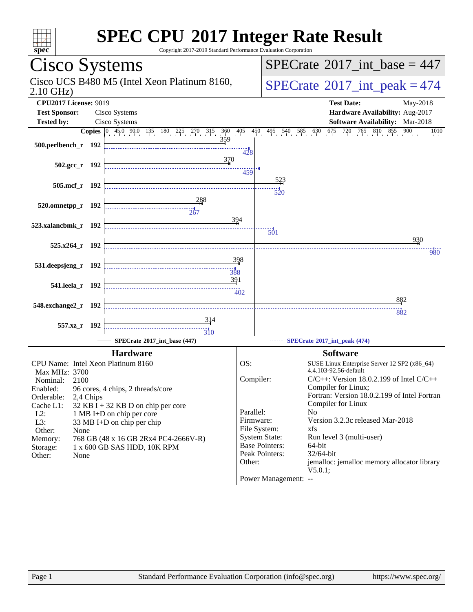| spec                                                                                                                                                              |  | <b>SPEC CPU®2017 Integer Rate Result</b><br>Copyright 2017-2019 Standard Performance Evaluation Corporation                                                                                                 |                                                                                                                                  |  |                                                                                                                                                                                                                                                                                                                                                                       |  |
|-------------------------------------------------------------------------------------------------------------------------------------------------------------------|--|-------------------------------------------------------------------------------------------------------------------------------------------------------------------------------------------------------------|----------------------------------------------------------------------------------------------------------------------------------|--|-----------------------------------------------------------------------------------------------------------------------------------------------------------------------------------------------------------------------------------------------------------------------------------------------------------------------------------------------------------------------|--|
| Cisco Systems                                                                                                                                                     |  |                                                                                                                                                                                                             | $SPECrate^{\circledast}2017$ int base = 447                                                                                      |  |                                                                                                                                                                                                                                                                                                                                                                       |  |
| Cisco UCS B480 M5 (Intel Xeon Platinum 8160,<br>$2.10$ GHz)                                                                                                       |  |                                                                                                                                                                                                             |                                                                                                                                  |  | $SPECTate$ <sup>®</sup> 2017_int_peak = 474                                                                                                                                                                                                                                                                                                                           |  |
| <b>CPU2017 License: 9019</b>                                                                                                                                      |  |                                                                                                                                                                                                             |                                                                                                                                  |  | <b>Test Date:</b><br>May-2018                                                                                                                                                                                                                                                                                                                                         |  |
| <b>Test Sponsor:</b>                                                                                                                                              |  | Cisco Systems                                                                                                                                                                                               |                                                                                                                                  |  | Hardware Availability: Aug-2017                                                                                                                                                                                                                                                                                                                                       |  |
| <b>Tested by:</b>                                                                                                                                                 |  | Cisco Systems                                                                                                                                                                                               |                                                                                                                                  |  | Software Availability: Mar-2018                                                                                                                                                                                                                                                                                                                                       |  |
| 500.perlbench_r 192                                                                                                                                               |  | <b>Copies</b> $\begin{bmatrix} 0 & 45.0 & 90.0 & 135 & 180 & 225 & 270 & 315 & 360 & 405 & 450 \end{bmatrix}$<br>359                                                                                        | 428                                                                                                                              |  | 675 720<br>765 810 855<br>900<br>495 540 585 630<br>1010                                                                                                                                                                                                                                                                                                              |  |
| $502.\text{gcc r}$ 192                                                                                                                                            |  | 370                                                                                                                                                                                                         | 459                                                                                                                              |  | 523                                                                                                                                                                                                                                                                                                                                                                   |  |
| 505.mcf_r 192                                                                                                                                                     |  |                                                                                                                                                                                                             |                                                                                                                                  |  | 520                                                                                                                                                                                                                                                                                                                                                                   |  |
| 520.omnetpp_r 192                                                                                                                                                 |  |                                                                                                                                                                                                             | 394                                                                                                                              |  |                                                                                                                                                                                                                                                                                                                                                                       |  |
| 523.xalancbmk_r 192                                                                                                                                               |  |                                                                                                                                                                                                             |                                                                                                                                  |  | $\overline{501}$                                                                                                                                                                                                                                                                                                                                                      |  |
| $525.x264$ r 192                                                                                                                                                  |  |                                                                                                                                                                                                             |                                                                                                                                  |  | 930                                                                                                                                                                                                                                                                                                                                                                   |  |
|                                                                                                                                                                   |  |                                                                                                                                                                                                             |                                                                                                                                  |  | 980                                                                                                                                                                                                                                                                                                                                                                   |  |
| 531. deepsjeng r 192                                                                                                                                              |  | 391                                                                                                                                                                                                         | 398                                                                                                                              |  |                                                                                                                                                                                                                                                                                                                                                                       |  |
| 541.leela_r 192                                                                                                                                                   |  |                                                                                                                                                                                                             | $\frac{11}{402}$                                                                                                                 |  |                                                                                                                                                                                                                                                                                                                                                                       |  |
|                                                                                                                                                                   |  |                                                                                                                                                                                                             |                                                                                                                                  |  | 882                                                                                                                                                                                                                                                                                                                                                                   |  |
| 548.exchange2_r 192                                                                                                                                               |  |                                                                                                                                                                                                             |                                                                                                                                  |  | 882                                                                                                                                                                                                                                                                                                                                                                   |  |
| 557.xz_r 192                                                                                                                                                      |  | $\overline{3}10$                                                                                                                                                                                            |                                                                                                                                  |  |                                                                                                                                                                                                                                                                                                                                                                       |  |
|                                                                                                                                                                   |  | SPECrate®2017_int_base (447)                                                                                                                                                                                |                                                                                                                                  |  | SPECrate®2017_int_peak (474)                                                                                                                                                                                                                                                                                                                                          |  |
|                                                                                                                                                                   |  | <b>Hardware</b>                                                                                                                                                                                             |                                                                                                                                  |  | <b>Software</b>                                                                                                                                                                                                                                                                                                                                                       |  |
| CPU Name: Intel Xeon Platinum 8160                                                                                                                                |  |                                                                                                                                                                                                             | OS:                                                                                                                              |  | SUSE Linux Enterprise Server 12 SP2 (x86_64)                                                                                                                                                                                                                                                                                                                          |  |
| Max MHz: 3700<br>Nominal:<br>2100<br>Enabled:<br>Orderable:<br>2,4 Chips<br>Cache L1:<br>$L2$ :<br>L3:<br>Other:<br>None<br>Memory:<br>Storage:<br>Other:<br>None |  | 96 cores, 4 chips, 2 threads/core<br>$32$ KB I + 32 KB D on chip per core<br>1 MB I+D on chip per core<br>33 MB I+D on chip per chip<br>768 GB (48 x 16 GB 2Rx4 PC4-2666V-R)<br>1 x 600 GB SAS HDD, 10K RPM | Compiler:<br>Parallel:<br>Firmware:<br>File System:<br><b>System State:</b><br><b>Base Pointers:</b><br>Peak Pointers:<br>Other: |  | 4.4.103-92.56-default<br>$C/C++$ : Version 18.0.2.199 of Intel $C/C++$<br>Compiler for Linux;<br>Fortran: Version 18.0.2.199 of Intel Fortran<br>Compiler for Linux<br>N <sub>0</sub><br>Version 3.2.3c released Mar-2018<br>xfs<br>Run level 3 (multi-user)<br>64-bit<br>32/64-bit<br>jemalloc: jemalloc memory allocator library<br>V5.0.1;<br>Power Management: -- |  |
| Page 1                                                                                                                                                            |  | Standard Performance Evaluation Corporation (info@spec.org)                                                                                                                                                 |                                                                                                                                  |  | https://www.spec.org/                                                                                                                                                                                                                                                                                                                                                 |  |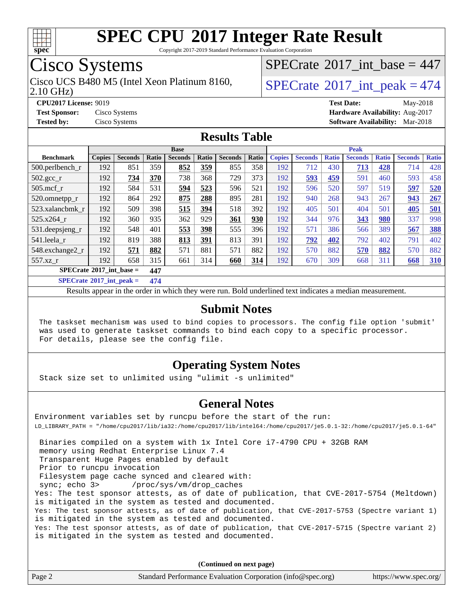

Copyright 2017-2019 Standard Performance Evaluation Corporation

## Cisco Systems

Cisco UCS B480 M5 (Intel Xeon Platinum 8160,  $\vert$  [SPECrate](http://www.spec.org/auto/cpu2017/Docs/result-fields.html#SPECrate2017intpeak) [2017\\_int\\_peak = 4](http://www.spec.org/auto/cpu2017/Docs/result-fields.html#SPECrate2017intpeak)74

 $SPECrate$ <sup>®</sup>[2017\\_int\\_base =](http://www.spec.org/auto/cpu2017/Docs/result-fields.html#SPECrate2017intbase) 447

2.10 GHz)

**[CPU2017 License:](http://www.spec.org/auto/cpu2017/Docs/result-fields.html#CPU2017License)** 9019 **[Test Date:](http://www.spec.org/auto/cpu2017/Docs/result-fields.html#TestDate)** May-2018 **[Test Sponsor:](http://www.spec.org/auto/cpu2017/Docs/result-fields.html#TestSponsor)** Cisco Systems **[Hardware Availability:](http://www.spec.org/auto/cpu2017/Docs/result-fields.html#HardwareAvailability)** Aug-2017 **[Tested by:](http://www.spec.org/auto/cpu2017/Docs/result-fields.html#Testedby)** Cisco Systems **[Software Availability:](http://www.spec.org/auto/cpu2017/Docs/result-fields.html#SoftwareAvailability)** Mar-2018

### **[Results Table](http://www.spec.org/auto/cpu2017/Docs/result-fields.html#ResultsTable)**

| <b>Base</b>                              |               |                |         |                |       | <b>Peak</b>    |       |               |                |              |                |              |                |              |
|------------------------------------------|---------------|----------------|---------|----------------|-------|----------------|-------|---------------|----------------|--------------|----------------|--------------|----------------|--------------|
| <b>Benchmark</b>                         | <b>Copies</b> | <b>Seconds</b> | Ratio   | <b>Seconds</b> | Ratio | <b>Seconds</b> | Ratio | <b>Copies</b> | <b>Seconds</b> | <b>Ratio</b> | <b>Seconds</b> | <b>Ratio</b> | <b>Seconds</b> | <b>Ratio</b> |
| $500.$ perlbench_r                       | 192           | 851            | 359     | 852            | 359   | 855            | 358   | 192           | 712            | 430          | 713            | 428          | 714            | 428          |
| 502.gcc_r                                | 192           | 734            | 370     | 738            | 368   | 729            | 373   | 192           | 593            | 459          | 591            | 460          | 593            | 458          |
| $505$ .mcf r                             | 192           | 584            | 531     | 594            | 523   | 596            | 521   | 192           | 596            | 520          | 597            | 519          | 597            | 520          |
| 520.omnetpp_r                            | 192           | 864            | 292     | 875            | 288   | 895            | 281   | 192           | 940            | 268          | 943            | 267          | 943            | 267          |
| 523.xalancbmk_r                          | 192           | 509            | 398     | 515            | 394   | 518            | 392   | 192           | 405            | 501          | 404            | 501          | 405            | 501          |
| 525.x264 r                               | 192           | 360            | 935     | 362            | 929   | 361            | 930   | 192           | 344            | 976          | 343            | 980          | 337            | 998          |
| 531.deepsjeng_r                          | 192           | 548            | 401     | 553            | 398   | 555            | 396   | 192           | 571            | 386          | 566            | 389          | 567            | <b>388</b>   |
| 541.leela_r                              | 192           | 819            | 388     | 813            | 391   | 813            | 391   | 192           | 792            | 402          | 792            | 402          | 791            | 402          |
| 548.exchange2_r                          | 192           | 571            | 882     | 571            | 881   | 571            | 882   | 192           | 570            | 882          | 570            | 882          | 570            | 882          |
| 557.xz r                                 | 192           | 658            | 315     | 661            | 314   | 660            | 314   | 192           | 670            | 309          | 668            | 311          | 668            | <b>310</b>   |
| $SPECrate^{\circ}2017$ int base =<br>447 |               |                |         |                |       |                |       |               |                |              |                |              |                |              |
| $CDFCL_{14} \oplus 0.017$ $1.4$ $1.1$    |               |                | $4 - 4$ |                |       |                |       |               |                |              |                |              |                |              |

**[SPECrate](http://www.spec.org/auto/cpu2017/Docs/result-fields.html#SPECrate2017intpeak)[2017\\_int\\_peak =](http://www.spec.org/auto/cpu2017/Docs/result-fields.html#SPECrate2017intpeak) 474**

Results appear in the [order in which they were run](http://www.spec.org/auto/cpu2017/Docs/result-fields.html#RunOrder). Bold underlined text [indicates a median measurement](http://www.spec.org/auto/cpu2017/Docs/result-fields.html#Median).

### **[Submit Notes](http://www.spec.org/auto/cpu2017/Docs/result-fields.html#SubmitNotes)**

 The taskset mechanism was used to bind copies to processors. The config file option 'submit' was used to generate taskset commands to bind each copy to a specific processor. For details, please see the config file.

### **[Operating System Notes](http://www.spec.org/auto/cpu2017/Docs/result-fields.html#OperatingSystemNotes)**

Stack size set to unlimited using "ulimit -s unlimited"

### **[General Notes](http://www.spec.org/auto/cpu2017/Docs/result-fields.html#GeneralNotes)**

Environment variables set by runcpu before the start of the run: LD\_LIBRARY\_PATH = "/home/cpu2017/lib/ia32:/home/cpu2017/lib/intel64:/home/cpu2017/je5.0.1-32:/home/cpu2017/je5.0.1-64"

 Binaries compiled on a system with 1x Intel Core i7-4790 CPU + 32GB RAM memory using Redhat Enterprise Linux 7.4 Transparent Huge Pages enabled by default Prior to runcpu invocation Filesystem page cache synced and cleared with: sync; echo 3> /proc/sys/vm/drop\_caches Yes: The test sponsor attests, as of date of publication, that CVE-2017-5754 (Meltdown) is mitigated in the system as tested and documented. Yes: The test sponsor attests, as of date of publication, that CVE-2017-5753 (Spectre variant 1) is mitigated in the system as tested and documented. Yes: The test sponsor attests, as of date of publication, that CVE-2017-5715 (Spectre variant 2) is mitigated in the system as tested and documented.

**(Continued on next page)**

| Page 2 | Standard Performance Evaluation Corporation (info@spec.org) | https://www.spec.org/ |
|--------|-------------------------------------------------------------|-----------------------|
|        |                                                             |                       |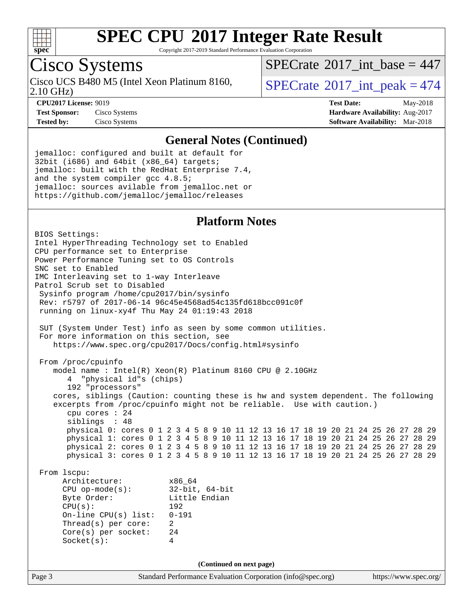

Copyright 2017-2019 Standard Performance Evaluation Corporation

## Cisco Systems

2.10 GHz) Cisco UCS B480 M5 (Intel Xeon Platinum 8160,  $\vert$  [SPECrate](http://www.spec.org/auto/cpu2017/Docs/result-fields.html#SPECrate2017intpeak) <sup>®</sup>[2017\\_int\\_peak = 4](http://www.spec.org/auto/cpu2017/Docs/result-fields.html#SPECrate2017intpeak)74

 $SPECTate$ <sup>®</sup>[2017\\_int\\_base =](http://www.spec.org/auto/cpu2017/Docs/result-fields.html#SPECrate2017intbase) 447

**[CPU2017 License:](http://www.spec.org/auto/cpu2017/Docs/result-fields.html#CPU2017License)** 9019 **[Test Date:](http://www.spec.org/auto/cpu2017/Docs/result-fields.html#TestDate)** May-2018 **[Test Sponsor:](http://www.spec.org/auto/cpu2017/Docs/result-fields.html#TestSponsor)** Cisco Systems **[Hardware Availability:](http://www.spec.org/auto/cpu2017/Docs/result-fields.html#HardwareAvailability)** Aug-2017 **[Tested by:](http://www.spec.org/auto/cpu2017/Docs/result-fields.html#Testedby)** Cisco Systems **[Software Availability:](http://www.spec.org/auto/cpu2017/Docs/result-fields.html#SoftwareAvailability)** Mar-2018

#### **[General Notes \(Continued\)](http://www.spec.org/auto/cpu2017/Docs/result-fields.html#GeneralNotes)**

jemalloc: configured and built at default for 32bit (i686) and 64bit (x86\_64) targets; jemalloc: built with the RedHat Enterprise 7.4, and the system compiler gcc 4.8.5; jemalloc: sources avilable from jemalloc.net or <https://github.com/jemalloc/jemalloc/releases>

### **[Platform Notes](http://www.spec.org/auto/cpu2017/Docs/result-fields.html#PlatformNotes)**

Page 3 Standard Performance Evaluation Corporation [\(info@spec.org\)](mailto:info@spec.org) <https://www.spec.org/> BIOS Settings: Intel HyperThreading Technology set to Enabled CPU performance set to Enterprise Power Performance Tuning set to OS Controls SNC set to Enabled IMC Interleaving set to 1-way Interleave Patrol Scrub set to Disabled Sysinfo program /home/cpu2017/bin/sysinfo Rev: r5797 of 2017-06-14 96c45e4568ad54c135fd618bcc091c0f running on linux-xy4f Thu May 24 01:19:43 2018 SUT (System Under Test) info as seen by some common utilities. For more information on this section, see <https://www.spec.org/cpu2017/Docs/config.html#sysinfo> From /proc/cpuinfo model name : Intel(R) Xeon(R) Platinum 8160 CPU @ 2.10GHz 4 "physical id"s (chips) 192 "processors" cores, siblings (Caution: counting these is hw and system dependent. The following excerpts from /proc/cpuinfo might not be reliable. Use with caution.) cpu cores : 24 siblings : 48 physical 0: cores 0 1 2 3 4 5 8 9 10 11 12 13 16 17 18 19 20 21 24 25 26 27 28 29 physical 1: cores 0 1 2 3 4 5 8 9 10 11 12 13 16 17 18 19 20 21 24 25 26 27 28 29 physical 2: cores 0 1 2 3 4 5 8 9 10 11 12 13 16 17 18 19 20 21 24 25 26 27 28 29 physical 3: cores 0 1 2 3 4 5 8 9 10 11 12 13 16 17 18 19 20 21 24 25 26 27 28 29 From lscpu: Architecture: x86\_64 CPU op-mode(s): 32-bit, 64-bit<br>Byte Order: Little Endian Little Endian CPU(s): 192 On-line CPU(s) list: 0-191 Thread(s) per core: 2 Core(s) per socket: 24 Socket(s): 4 **(Continued on next page)**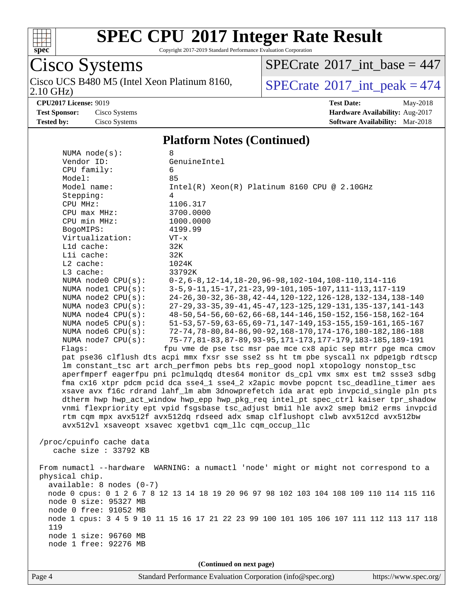

Copyright 2017-2019 Standard Performance Evaluation Corporation

# Cisco Systems

2.10 GHz) Cisco UCS B480 M5 (Intel Xeon Platinum 8160,  $\sqrt{\text{SPECrate}^{\otimes}2017\_int\_peak} = 474$  $\sqrt{\text{SPECrate}^{\otimes}2017\_int\_peak} = 474$  $\sqrt{\text{SPECrate}^{\otimes}2017\_int\_peak} = 474$ 

 $SPECrate$ <sup>®</sup>[2017\\_int\\_base =](http://www.spec.org/auto/cpu2017/Docs/result-fields.html#SPECrate2017intbase) 447

**[CPU2017 License:](http://www.spec.org/auto/cpu2017/Docs/result-fields.html#CPU2017License)** 9019 **[Test Date:](http://www.spec.org/auto/cpu2017/Docs/result-fields.html#TestDate)** May-2018 **[Test Sponsor:](http://www.spec.org/auto/cpu2017/Docs/result-fields.html#TestSponsor)** Cisco Systems **[Hardware Availability:](http://www.spec.org/auto/cpu2017/Docs/result-fields.html#HardwareAvailability)** Aug-2017 **[Tested by:](http://www.spec.org/auto/cpu2017/Docs/result-fields.html#Testedby)** Cisco Systems **[Software Availability:](http://www.spec.org/auto/cpu2017/Docs/result-fields.html#SoftwareAvailability)** Mar-2018

#### **[Platform Notes \(Continued\)](http://www.spec.org/auto/cpu2017/Docs/result-fields.html#PlatformNotes)**

| (Continued on next page)                                                                                                                                                    |                                                                                                                              |  |  |  |  |  |
|-----------------------------------------------------------------------------------------------------------------------------------------------------------------------------|------------------------------------------------------------------------------------------------------------------------------|--|--|--|--|--|
| node 1 free: 92276 MB                                                                                                                                                       |                                                                                                                              |  |  |  |  |  |
| node 1 size: 96760 MB                                                                                                                                                       |                                                                                                                              |  |  |  |  |  |
| 119                                                                                                                                                                         | node 1 cpus: 3 4 5 9 10 11 15 16 17 21 22 23 99 100 101 105 106 107 111 112 113 117 118                                      |  |  |  |  |  |
| node 0 free: 91052 MB                                                                                                                                                       |                                                                                                                              |  |  |  |  |  |
| node 0 size: 95327 MB                                                                                                                                                       |                                                                                                                              |  |  |  |  |  |
| node 0 cpus: 0 1 2 6 7 8 12 13 14 18 19 20 96 97 98 102 103 104 108 109 110 114 115 116                                                                                     |                                                                                                                              |  |  |  |  |  |
| $available: 8 nodes (0-7)$                                                                                                                                                  |                                                                                                                              |  |  |  |  |  |
| physical chip.                                                                                                                                                              |                                                                                                                              |  |  |  |  |  |
|                                                                                                                                                                             | From numactl --hardware WARNING: a numactl 'node' might or might not correspond to a                                         |  |  |  |  |  |
| cache size $: 33792$ KB                                                                                                                                                     |                                                                                                                              |  |  |  |  |  |
| /proc/cpuinfo cache data                                                                                                                                                    |                                                                                                                              |  |  |  |  |  |
|                                                                                                                                                                             |                                                                                                                              |  |  |  |  |  |
|                                                                                                                                                                             | avx512vl xsaveopt xsavec xgetbv1 cqm_llc cqm_occup_llc                                                                       |  |  |  |  |  |
|                                                                                                                                                                             | rtm cgm mpx avx512f avx512dq rdseed adx smap clflushopt clwb avx512cd avx512bw                                               |  |  |  |  |  |
| vnmi flexpriority ept vpid fsgsbase tsc_adjust bmil hle avx2 smep bmi2 erms invpcid                                                                                         |                                                                                                                              |  |  |  |  |  |
| dtherm hwp hwp_act_window hwp_epp hwp_pkg_req intel_pt spec_ctrl kaiser tpr_shadow                                                                                          |                                                                                                                              |  |  |  |  |  |
| fma cx16 xtpr pdcm pcid dca sse4_1 sse4_2 x2apic movbe popcnt tsc_deadline_timer aes<br>xsave avx f16c rdrand lahf_lm abm 3dnowprefetch ida arat epb invpcid_single pln pts |                                                                                                                              |  |  |  |  |  |
| aperfmperf eagerfpu pni pclmulqdq dtes64 monitor ds_cpl vmx smx est tm2 ssse3 sdbg                                                                                          |                                                                                                                              |  |  |  |  |  |
| lm constant_tsc art arch_perfmon pebs bts rep_good nopl xtopology nonstop_tsc                                                                                               |                                                                                                                              |  |  |  |  |  |
|                                                                                                                                                                             | pat pse36 clflush dts acpi mmx fxsr sse sse2 ss ht tm pbe syscall nx pdpelgb rdtscp                                          |  |  |  |  |  |
| Flagg:                                                                                                                                                                      | fpu vme de pse tsc msr pae mce cx8 apic sep mtrr pge mca cmov                                                                |  |  |  |  |  |
| NUMA node7 CPU(s):                                                                                                                                                          | 75-77, 81-83, 87-89, 93-95, 171-173, 177-179, 183-185, 189-191                                                               |  |  |  |  |  |
| NUMA node6 CPU(s):                                                                                                                                                          | 72-74, 78-80, 84-86, 90-92, 168-170, 174-176, 180-182, 186-188                                                               |  |  |  |  |  |
| NUMA $node5$ CPU $(s)$ :                                                                                                                                                    | 51-53, 57-59, 63-65, 69-71, 147-149, 153-155, 159-161, 165-167                                                               |  |  |  |  |  |
| NUMA $node4$ $CPU(s):$                                                                                                                                                      | 48-50, 54-56, 60-62, 66-68, 144-146, 150-152, 156-158, 162-164                                                               |  |  |  |  |  |
| NUMA $node2$ $CPU(s):$<br>NUMA node3 CPU(s):                                                                                                                                | 27-29, 33-35, 39-41, 45-47, 123-125, 129-131, 135-137, 141-143                                                               |  |  |  |  |  |
| NUMA nodel CPU(s):                                                                                                                                                          | 3-5, 9-11, 15-17, 21-23, 99-101, 105-107, 111-113, 117-119<br>24-26, 30-32, 36-38, 42-44, 120-122, 126-128, 132-134, 138-140 |  |  |  |  |  |
| NUMA node0 CPU(s):                                                                                                                                                          | $0-2, 6-8, 12-14, 18-20, 96-98, 102-104, 108-110, 114-116$                                                                   |  |  |  |  |  |
| L3 cache:                                                                                                                                                                   | 33792K                                                                                                                       |  |  |  |  |  |
| L2 cache:                                                                                                                                                                   | 1024K                                                                                                                        |  |  |  |  |  |
| Lli cache:                                                                                                                                                                  | 32K                                                                                                                          |  |  |  |  |  |
| $L1d$ cache:                                                                                                                                                                | 32K                                                                                                                          |  |  |  |  |  |
| Virtualization:                                                                                                                                                             | $VT - x$                                                                                                                     |  |  |  |  |  |
| BogoMIPS:                                                                                                                                                                   | 4199.99                                                                                                                      |  |  |  |  |  |
| CPU min MHz:                                                                                                                                                                | 1000.0000                                                                                                                    |  |  |  |  |  |
| $CPU$ max $MHz$ :                                                                                                                                                           | 3700.0000                                                                                                                    |  |  |  |  |  |
| CPU MHz:                                                                                                                                                                    | 1106.317                                                                                                                     |  |  |  |  |  |
| Stepping:                                                                                                                                                                   | 4                                                                                                                            |  |  |  |  |  |
| Model:<br>Model name:                                                                                                                                                       | 85<br>Intel(R) Xeon(R) Platinum 8160 CPU @ 2.10GHz                                                                           |  |  |  |  |  |
| CPU family:                                                                                                                                                                 | 6                                                                                                                            |  |  |  |  |  |
| Vendor ID:                                                                                                                                                                  | GenuineIntel                                                                                                                 |  |  |  |  |  |
| NUMA $node(s):$                                                                                                                                                             | 8                                                                                                                            |  |  |  |  |  |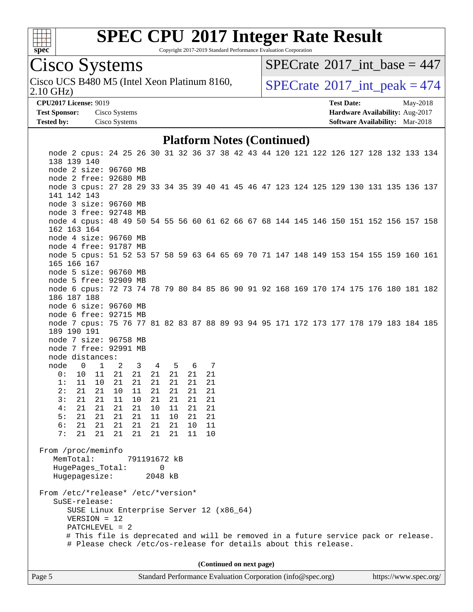

Copyright 2017-2019 Standard Performance Evaluation Corporation

## Cisco Systems

2.10 GHz) Cisco UCS B480 M5 (Intel Xeon Platinum 8160,  $\vert$  [SPECrate](http://www.spec.org/auto/cpu2017/Docs/result-fields.html#SPECrate2017intpeak) <sup>®</sup>[2017\\_int\\_peak = 4](http://www.spec.org/auto/cpu2017/Docs/result-fields.html#SPECrate2017intpeak)74

 $SPECTate$ <sup>®</sup>[2017\\_int\\_base =](http://www.spec.org/auto/cpu2017/Docs/result-fields.html#SPECrate2017intbase) 447

**[CPU2017 License:](http://www.spec.org/auto/cpu2017/Docs/result-fields.html#CPU2017License)** 9019 **[Test Date:](http://www.spec.org/auto/cpu2017/Docs/result-fields.html#TestDate)** May-2018 **[Test Sponsor:](http://www.spec.org/auto/cpu2017/Docs/result-fields.html#TestSponsor)** Cisco Systems **[Hardware Availability:](http://www.spec.org/auto/cpu2017/Docs/result-fields.html#HardwareAvailability)** Aug-2017 **[Tested by:](http://www.spec.org/auto/cpu2017/Docs/result-fields.html#Testedby)** Cisco Systems **[Software Availability:](http://www.spec.org/auto/cpu2017/Docs/result-fields.html#SoftwareAvailability)** Mar-2018

#### **[Platform Notes \(Continued\)](http://www.spec.org/auto/cpu2017/Docs/result-fields.html#PlatformNotes)**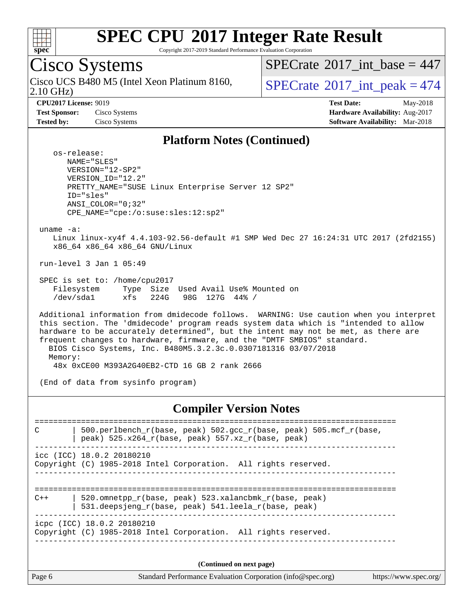

Copyright 2017-2019 Standard Performance Evaluation Corporation

## Cisco Systems

2.10 GHz) Cisco UCS B480 M5 (Intel Xeon Platinum 8160,  $\vert$  [SPECrate](http://www.spec.org/auto/cpu2017/Docs/result-fields.html#SPECrate2017intpeak) <sup>®</sup>[2017\\_int\\_peak = 4](http://www.spec.org/auto/cpu2017/Docs/result-fields.html#SPECrate2017intpeak)74

 $SPECrate$ <sup>®</sup>[2017\\_int\\_base =](http://www.spec.org/auto/cpu2017/Docs/result-fields.html#SPECrate2017intbase) 447

**[CPU2017 License:](http://www.spec.org/auto/cpu2017/Docs/result-fields.html#CPU2017License)** 9019 **[Test Date:](http://www.spec.org/auto/cpu2017/Docs/result-fields.html#TestDate)** May-2018 **[Test Sponsor:](http://www.spec.org/auto/cpu2017/Docs/result-fields.html#TestSponsor)** Cisco Systems **[Hardware Availability:](http://www.spec.org/auto/cpu2017/Docs/result-fields.html#HardwareAvailability)** Aug-2017 **[Tested by:](http://www.spec.org/auto/cpu2017/Docs/result-fields.html#Testedby)** Cisco Systems **[Software Availability:](http://www.spec.org/auto/cpu2017/Docs/result-fields.html#SoftwareAvailability)** Mar-2018

#### **[Platform Notes \(Continued\)](http://www.spec.org/auto/cpu2017/Docs/result-fields.html#PlatformNotes)**

 os-release: NAME="SLES" VERSION="12-SP2" VERSION\_ID="12.2" PRETTY\_NAME="SUSE Linux Enterprise Server 12 SP2" ID="sles" ANSI\_COLOR="0;32" CPE\_NAME="cpe:/o:suse:sles:12:sp2"

uname -a:

 Linux linux-xy4f 4.4.103-92.56-default #1 SMP Wed Dec 27 16:24:31 UTC 2017 (2fd2155) x86\_64 x86\_64 x86\_64 GNU/Linux

run-level 3 Jan 1 05:49

 SPEC is set to: /home/cpu2017 Filesystem Type Size Used Avail Use% Mounted on /dev/sda1 xfs 224G 98G 127G 44% /

 Additional information from dmidecode follows. WARNING: Use caution when you interpret this section. The 'dmidecode' program reads system data which is "intended to allow hardware to be accurately determined", but the intent may not be met, as there are frequent changes to hardware, firmware, and the "DMTF SMBIOS" standard. BIOS Cisco Systems, Inc. B480M5.3.2.3c.0.0307181316 03/07/2018 Memory: 48x 0xCE00 M393A2G40EB2-CTD 16 GB 2 rank 2666

(End of data from sysinfo program)

#### **[Compiler Version Notes](http://www.spec.org/auto/cpu2017/Docs/result-fields.html#CompilerVersionNotes)**

============================================================================== C  $\vert$  500.perlbench\_r(base, peak) 502.gcc\_r(base, peak) 505.mcf\_r(base, | peak) 525.x264  $r(base, peak)$  557.xz  $r(base, peak)$ ----------------------------------------------------------------------------- icc (ICC) 18.0.2 20180210 Copyright (C) 1985-2018 Intel Corporation. All rights reserved. ------------------------------------------------------------------------------ ============================================================================== C++ | 520.omnetpp\_r(base, peak) 523.xalancbmk\_r(base, peak) | 531.deepsjeng\_r(base, peak) 541.leela\_r(base, peak) ----------------------------------------------------------------------------- icpc (ICC) 18.0.2 20180210 Copyright (C) 1985-2018 Intel Corporation. All rights reserved. ------------------------------------------------------------------------------ **(Continued on next page)**

Page 6 Standard Performance Evaluation Corporation [\(info@spec.org\)](mailto:info@spec.org) <https://www.spec.org/>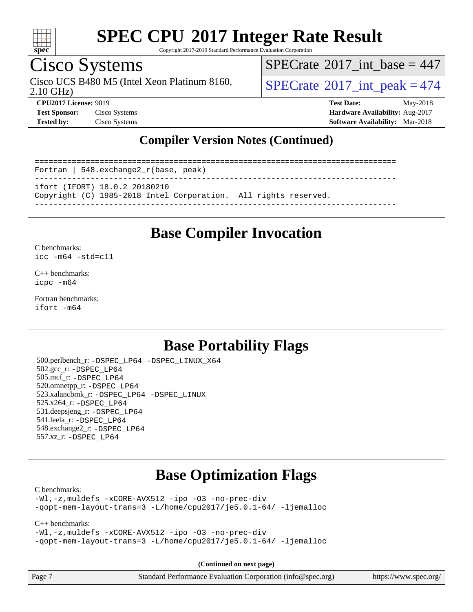

Copyright 2017-2019 Standard Performance Evaluation Corporation

### Cisco Systems

2.10 GHz) Cisco UCS B480 M5 (Intel Xeon Platinum 8160,  $\vert$  [SPECrate](http://www.spec.org/auto/cpu2017/Docs/result-fields.html#SPECrate2017intpeak) <sup>®</sup>[2017\\_int\\_peak = 4](http://www.spec.org/auto/cpu2017/Docs/result-fields.html#SPECrate2017intpeak)74

 $SPECTate$ <sup>®</sup>[2017\\_int\\_base =](http://www.spec.org/auto/cpu2017/Docs/result-fields.html#SPECrate2017intbase) 447

**[CPU2017 License:](http://www.spec.org/auto/cpu2017/Docs/result-fields.html#CPU2017License)** 9019 **[Test Date:](http://www.spec.org/auto/cpu2017/Docs/result-fields.html#TestDate)** May-2018 **[Test Sponsor:](http://www.spec.org/auto/cpu2017/Docs/result-fields.html#TestSponsor)** Cisco Systems **[Hardware Availability:](http://www.spec.org/auto/cpu2017/Docs/result-fields.html#HardwareAvailability)** Aug-2017 **[Tested by:](http://www.spec.org/auto/cpu2017/Docs/result-fields.html#Testedby)** Cisco Systems **[Software Availability:](http://www.spec.org/auto/cpu2017/Docs/result-fields.html#SoftwareAvailability)** Mar-2018

### **[Compiler Version Notes \(Continued\)](http://www.spec.org/auto/cpu2017/Docs/result-fields.html#CompilerVersionNotes)**

============================================================================== Fortran | 548.exchange2\_r(base, peak) ----------------------------------------------------------------------------- ifort (IFORT) 18.0.2 20180210 Copyright (C) 1985-2018 Intel Corporation. All rights reserved. ------------------------------------------------------------------------------

### **[Base Compiler Invocation](http://www.spec.org/auto/cpu2017/Docs/result-fields.html#BaseCompilerInvocation)**

#### [C benchmarks](http://www.spec.org/auto/cpu2017/Docs/result-fields.html#Cbenchmarks): [icc -m64 -std=c11](http://www.spec.org/cpu2017/results/res2018q2/cpu2017-20180529-06357.flags.html#user_CCbase_intel_icc_64bit_c11_33ee0cdaae7deeeab2a9725423ba97205ce30f63b9926c2519791662299b76a0318f32ddfffdc46587804de3178b4f9328c46fa7c2b0cd779d7a61945c91cd35)

[C++ benchmarks:](http://www.spec.org/auto/cpu2017/Docs/result-fields.html#CXXbenchmarks)

[icpc -m64](http://www.spec.org/cpu2017/results/res2018q2/cpu2017-20180529-06357.flags.html#user_CXXbase_intel_icpc_64bit_4ecb2543ae3f1412ef961e0650ca070fec7b7afdcd6ed48761b84423119d1bf6bdf5cad15b44d48e7256388bc77273b966e5eb805aefd121eb22e9299b2ec9d9)

[Fortran benchmarks](http://www.spec.org/auto/cpu2017/Docs/result-fields.html#Fortranbenchmarks): [ifort -m64](http://www.spec.org/cpu2017/results/res2018q2/cpu2017-20180529-06357.flags.html#user_FCbase_intel_ifort_64bit_24f2bb282fbaeffd6157abe4f878425411749daecae9a33200eee2bee2fe76f3b89351d69a8130dd5949958ce389cf37ff59a95e7a40d588e8d3a57e0c3fd751)

### **[Base Portability Flags](http://www.spec.org/auto/cpu2017/Docs/result-fields.html#BasePortabilityFlags)**

 500.perlbench\_r: [-DSPEC\\_LP64](http://www.spec.org/cpu2017/results/res2018q2/cpu2017-20180529-06357.flags.html#b500.perlbench_r_basePORTABILITY_DSPEC_LP64) [-DSPEC\\_LINUX\\_X64](http://www.spec.org/cpu2017/results/res2018q2/cpu2017-20180529-06357.flags.html#b500.perlbench_r_baseCPORTABILITY_DSPEC_LINUX_X64) 502.gcc\_r: [-DSPEC\\_LP64](http://www.spec.org/cpu2017/results/res2018q2/cpu2017-20180529-06357.flags.html#suite_basePORTABILITY502_gcc_r_DSPEC_LP64) 505.mcf\_r: [-DSPEC\\_LP64](http://www.spec.org/cpu2017/results/res2018q2/cpu2017-20180529-06357.flags.html#suite_basePORTABILITY505_mcf_r_DSPEC_LP64) 520.omnetpp\_r: [-DSPEC\\_LP64](http://www.spec.org/cpu2017/results/res2018q2/cpu2017-20180529-06357.flags.html#suite_basePORTABILITY520_omnetpp_r_DSPEC_LP64) 523.xalancbmk\_r: [-DSPEC\\_LP64](http://www.spec.org/cpu2017/results/res2018q2/cpu2017-20180529-06357.flags.html#suite_basePORTABILITY523_xalancbmk_r_DSPEC_LP64) [-DSPEC\\_LINUX](http://www.spec.org/cpu2017/results/res2018q2/cpu2017-20180529-06357.flags.html#b523.xalancbmk_r_baseCXXPORTABILITY_DSPEC_LINUX) 525.x264\_r: [-DSPEC\\_LP64](http://www.spec.org/cpu2017/results/res2018q2/cpu2017-20180529-06357.flags.html#suite_basePORTABILITY525_x264_r_DSPEC_LP64) 531.deepsjeng\_r: [-DSPEC\\_LP64](http://www.spec.org/cpu2017/results/res2018q2/cpu2017-20180529-06357.flags.html#suite_basePORTABILITY531_deepsjeng_r_DSPEC_LP64) 541.leela\_r: [-DSPEC\\_LP64](http://www.spec.org/cpu2017/results/res2018q2/cpu2017-20180529-06357.flags.html#suite_basePORTABILITY541_leela_r_DSPEC_LP64) 548.exchange2\_r: [-DSPEC\\_LP64](http://www.spec.org/cpu2017/results/res2018q2/cpu2017-20180529-06357.flags.html#suite_basePORTABILITY548_exchange2_r_DSPEC_LP64) 557.xz\_r: [-DSPEC\\_LP64](http://www.spec.org/cpu2017/results/res2018q2/cpu2017-20180529-06357.flags.html#suite_basePORTABILITY557_xz_r_DSPEC_LP64)

### **[Base Optimization Flags](http://www.spec.org/auto/cpu2017/Docs/result-fields.html#BaseOptimizationFlags)**

#### [C benchmarks](http://www.spec.org/auto/cpu2017/Docs/result-fields.html#Cbenchmarks):

[-Wl,-z,muldefs](http://www.spec.org/cpu2017/results/res2018q2/cpu2017-20180529-06357.flags.html#user_CCbase_link_force_multiple1_b4cbdb97b34bdee9ceefcfe54f4c8ea74255f0b02a4b23e853cdb0e18eb4525ac79b5a88067c842dd0ee6996c24547a27a4b99331201badda8798ef8a743f577) [-xCORE-AVX512](http://www.spec.org/cpu2017/results/res2018q2/cpu2017-20180529-06357.flags.html#user_CCbase_f-xCORE-AVX512) [-ipo](http://www.spec.org/cpu2017/results/res2018q2/cpu2017-20180529-06357.flags.html#user_CCbase_f-ipo) [-O3](http://www.spec.org/cpu2017/results/res2018q2/cpu2017-20180529-06357.flags.html#user_CCbase_f-O3) [-no-prec-div](http://www.spec.org/cpu2017/results/res2018q2/cpu2017-20180529-06357.flags.html#user_CCbase_f-no-prec-div) [-qopt-mem-layout-trans=3](http://www.spec.org/cpu2017/results/res2018q2/cpu2017-20180529-06357.flags.html#user_CCbase_f-qopt-mem-layout-trans_de80db37974c74b1f0e20d883f0b675c88c3b01e9d123adea9b28688d64333345fb62bc4a798493513fdb68f60282f9a726aa07f478b2f7113531aecce732043) [-L/home/cpu2017/je5.0.1-64/](http://www.spec.org/cpu2017/results/res2018q2/cpu2017-20180529-06357.flags.html#user_CCbase_jemalloc_link_path64_8e927a5f1bdac0405e66c637541874330e08086b5e62a1d024bcf3497e3c64fd173c8afb7d1730d51f6da781ef4c439bdab468bb8364cf71435e0c609fac500c) [-ljemalloc](http://www.spec.org/cpu2017/results/res2018q2/cpu2017-20180529-06357.flags.html#user_CCbase_jemalloc_link_lib_d1249b907c500fa1c0672f44f562e3d0f79738ae9e3c4a9c376d49f265a04b9c99b167ecedbf6711b3085be911c67ff61f150a17b3472be731631ba4d0471706)

#### [C++ benchmarks:](http://www.spec.org/auto/cpu2017/Docs/result-fields.html#CXXbenchmarks)

[-Wl,-z,muldefs](http://www.spec.org/cpu2017/results/res2018q2/cpu2017-20180529-06357.flags.html#user_CXXbase_link_force_multiple1_b4cbdb97b34bdee9ceefcfe54f4c8ea74255f0b02a4b23e853cdb0e18eb4525ac79b5a88067c842dd0ee6996c24547a27a4b99331201badda8798ef8a743f577) [-xCORE-AVX512](http://www.spec.org/cpu2017/results/res2018q2/cpu2017-20180529-06357.flags.html#user_CXXbase_f-xCORE-AVX512) [-ipo](http://www.spec.org/cpu2017/results/res2018q2/cpu2017-20180529-06357.flags.html#user_CXXbase_f-ipo) [-O3](http://www.spec.org/cpu2017/results/res2018q2/cpu2017-20180529-06357.flags.html#user_CXXbase_f-O3) [-no-prec-div](http://www.spec.org/cpu2017/results/res2018q2/cpu2017-20180529-06357.flags.html#user_CXXbase_f-no-prec-div) [-qopt-mem-layout-trans=3](http://www.spec.org/cpu2017/results/res2018q2/cpu2017-20180529-06357.flags.html#user_CXXbase_f-qopt-mem-layout-trans_de80db37974c74b1f0e20d883f0b675c88c3b01e9d123adea9b28688d64333345fb62bc4a798493513fdb68f60282f9a726aa07f478b2f7113531aecce732043) [-L/home/cpu2017/je5.0.1-64/](http://www.spec.org/cpu2017/results/res2018q2/cpu2017-20180529-06357.flags.html#user_CXXbase_jemalloc_link_path64_8e927a5f1bdac0405e66c637541874330e08086b5e62a1d024bcf3497e3c64fd173c8afb7d1730d51f6da781ef4c439bdab468bb8364cf71435e0c609fac500c) [-ljemalloc](http://www.spec.org/cpu2017/results/res2018q2/cpu2017-20180529-06357.flags.html#user_CXXbase_jemalloc_link_lib_d1249b907c500fa1c0672f44f562e3d0f79738ae9e3c4a9c376d49f265a04b9c99b167ecedbf6711b3085be911c67ff61f150a17b3472be731631ba4d0471706)

**(Continued on next page)**

| age i |  |
|-------|--|
|-------|--|

Page 7 Standard Performance Evaluation Corporation [\(info@spec.org\)](mailto:info@spec.org) <https://www.spec.org/>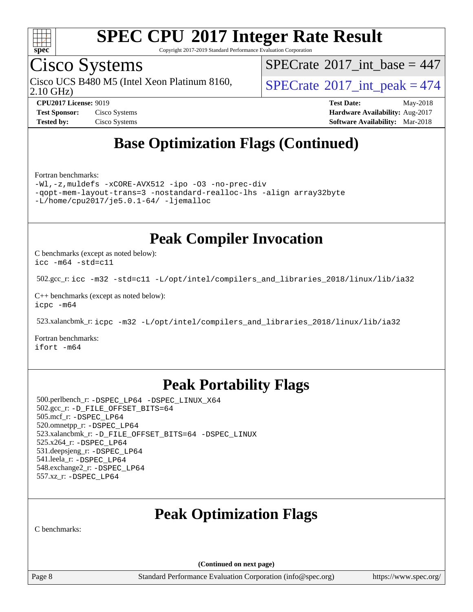

Copyright 2017-2019 Standard Performance Evaluation Corporation

### Cisco Systems

2.10 GHz) Cisco UCS B480 M5 (Intel Xeon Platinum 8160,  $\vert$ [SPECrate](http://www.spec.org/auto/cpu2017/Docs/result-fields.html#SPECrate2017intpeak)®[2017\\_int\\_peak = 4](http://www.spec.org/auto/cpu2017/Docs/result-fields.html#SPECrate2017intpeak)74

 $SPECrate$ <sup>®</sup>[2017\\_int\\_base =](http://www.spec.org/auto/cpu2017/Docs/result-fields.html#SPECrate2017intbase) 447

**[Tested by:](http://www.spec.org/auto/cpu2017/Docs/result-fields.html#Testedby)** Cisco Systems **[Software Availability:](http://www.spec.org/auto/cpu2017/Docs/result-fields.html#SoftwareAvailability)** Mar-2018

**[CPU2017 License:](http://www.spec.org/auto/cpu2017/Docs/result-fields.html#CPU2017License)** 9019 **[Test Date:](http://www.spec.org/auto/cpu2017/Docs/result-fields.html#TestDate)** May-2018 **[Test Sponsor:](http://www.spec.org/auto/cpu2017/Docs/result-fields.html#TestSponsor)** Cisco Systems **Cisco Systems [Hardware Availability:](http://www.spec.org/auto/cpu2017/Docs/result-fields.html#HardwareAvailability)** Aug-2017

## **[Base Optimization Flags \(Continued\)](http://www.spec.org/auto/cpu2017/Docs/result-fields.html#BaseOptimizationFlags)**

[Fortran benchmarks](http://www.spec.org/auto/cpu2017/Docs/result-fields.html#Fortranbenchmarks):

[-Wl,-z,muldefs](http://www.spec.org/cpu2017/results/res2018q2/cpu2017-20180529-06357.flags.html#user_FCbase_link_force_multiple1_b4cbdb97b34bdee9ceefcfe54f4c8ea74255f0b02a4b23e853cdb0e18eb4525ac79b5a88067c842dd0ee6996c24547a27a4b99331201badda8798ef8a743f577) [-xCORE-AVX512](http://www.spec.org/cpu2017/results/res2018q2/cpu2017-20180529-06357.flags.html#user_FCbase_f-xCORE-AVX512) [-ipo](http://www.spec.org/cpu2017/results/res2018q2/cpu2017-20180529-06357.flags.html#user_FCbase_f-ipo) [-O3](http://www.spec.org/cpu2017/results/res2018q2/cpu2017-20180529-06357.flags.html#user_FCbase_f-O3) [-no-prec-div](http://www.spec.org/cpu2017/results/res2018q2/cpu2017-20180529-06357.flags.html#user_FCbase_f-no-prec-div) [-qopt-mem-layout-trans=3](http://www.spec.org/cpu2017/results/res2018q2/cpu2017-20180529-06357.flags.html#user_FCbase_f-qopt-mem-layout-trans_de80db37974c74b1f0e20d883f0b675c88c3b01e9d123adea9b28688d64333345fb62bc4a798493513fdb68f60282f9a726aa07f478b2f7113531aecce732043) [-nostandard-realloc-lhs](http://www.spec.org/cpu2017/results/res2018q2/cpu2017-20180529-06357.flags.html#user_FCbase_f_2003_std_realloc_82b4557e90729c0f113870c07e44d33d6f5a304b4f63d4c15d2d0f1fab99f5daaed73bdb9275d9ae411527f28b936061aa8b9c8f2d63842963b95c9dd6426b8a) [-align array32byte](http://www.spec.org/cpu2017/results/res2018q2/cpu2017-20180529-06357.flags.html#user_FCbase_align_array32byte_b982fe038af199962ba9a80c053b8342c548c85b40b8e86eb3cc33dee0d7986a4af373ac2d51c3f7cf710a18d62fdce2948f201cd044323541f22fc0fffc51b6) [-L/home/cpu2017/je5.0.1-64/](http://www.spec.org/cpu2017/results/res2018q2/cpu2017-20180529-06357.flags.html#user_FCbase_jemalloc_link_path64_8e927a5f1bdac0405e66c637541874330e08086b5e62a1d024bcf3497e3c64fd173c8afb7d1730d51f6da781ef4c439bdab468bb8364cf71435e0c609fac500c) [-ljemalloc](http://www.spec.org/cpu2017/results/res2018q2/cpu2017-20180529-06357.flags.html#user_FCbase_jemalloc_link_lib_d1249b907c500fa1c0672f44f562e3d0f79738ae9e3c4a9c376d49f265a04b9c99b167ecedbf6711b3085be911c67ff61f150a17b3472be731631ba4d0471706)

**[Peak Compiler Invocation](http://www.spec.org/auto/cpu2017/Docs/result-fields.html#PeakCompilerInvocation)**

[C benchmarks \(except as noted below\)](http://www.spec.org/auto/cpu2017/Docs/result-fields.html#Cbenchmarksexceptasnotedbelow): [icc -m64 -std=c11](http://www.spec.org/cpu2017/results/res2018q2/cpu2017-20180529-06357.flags.html#user_CCpeak_intel_icc_64bit_c11_33ee0cdaae7deeeab2a9725423ba97205ce30f63b9926c2519791662299b76a0318f32ddfffdc46587804de3178b4f9328c46fa7c2b0cd779d7a61945c91cd35)

502.gcc\_r: [icc -m32 -std=c11 -L/opt/intel/compilers\\_and\\_libraries\\_2018/linux/lib/ia32](http://www.spec.org/cpu2017/results/res2018q2/cpu2017-20180529-06357.flags.html#user_peakCCLD502_gcc_r_intel_icc_2aadaa14f62c0e1495cde6f74ba3d875dfbad9f2fd73ceb1e5b66a7d4b19dc13cfe8615ba85624bf35f0c003544b7d55013bf72425d956b559f9a2757f69c910)

[C++ benchmarks \(except as noted below\):](http://www.spec.org/auto/cpu2017/Docs/result-fields.html#CXXbenchmarksexceptasnotedbelow) [icpc -m64](http://www.spec.org/cpu2017/results/res2018q2/cpu2017-20180529-06357.flags.html#user_CXXpeak_intel_icpc_64bit_4ecb2543ae3f1412ef961e0650ca070fec7b7afdcd6ed48761b84423119d1bf6bdf5cad15b44d48e7256388bc77273b966e5eb805aefd121eb22e9299b2ec9d9)

523.xalancbmk\_r: [icpc -m32 -L/opt/intel/compilers\\_and\\_libraries\\_2018/linux/lib/ia32](http://www.spec.org/cpu2017/results/res2018q2/cpu2017-20180529-06357.flags.html#user_peakCXXLD523_xalancbmk_r_intel_icpc_49b8c4a2e52517df5e44233d8730ac3dfca5acbb5ef11df3347e50260a55109134bcb7fd2e543798dfd93e66566a4e08776ad3f7d40a4ff4276870c090f61f0e)

[Fortran benchmarks](http://www.spec.org/auto/cpu2017/Docs/result-fields.html#Fortranbenchmarks): [ifort -m64](http://www.spec.org/cpu2017/results/res2018q2/cpu2017-20180529-06357.flags.html#user_FCpeak_intel_ifort_64bit_24f2bb282fbaeffd6157abe4f878425411749daecae9a33200eee2bee2fe76f3b89351d69a8130dd5949958ce389cf37ff59a95e7a40d588e8d3a57e0c3fd751)

### **[Peak Portability Flags](http://www.spec.org/auto/cpu2017/Docs/result-fields.html#PeakPortabilityFlags)**

 500.perlbench\_r: [-DSPEC\\_LP64](http://www.spec.org/cpu2017/results/res2018q2/cpu2017-20180529-06357.flags.html#b500.perlbench_r_peakPORTABILITY_DSPEC_LP64) [-DSPEC\\_LINUX\\_X64](http://www.spec.org/cpu2017/results/res2018q2/cpu2017-20180529-06357.flags.html#b500.perlbench_r_peakCPORTABILITY_DSPEC_LINUX_X64) 502.gcc\_r: [-D\\_FILE\\_OFFSET\\_BITS=64](http://www.spec.org/cpu2017/results/res2018q2/cpu2017-20180529-06357.flags.html#user_peakPORTABILITY502_gcc_r_file_offset_bits_64_5ae949a99b284ddf4e95728d47cb0843d81b2eb0e18bdfe74bbf0f61d0b064f4bda2f10ea5eb90e1dcab0e84dbc592acfc5018bc955c18609f94ddb8d550002c) 505.mcf\_r: [-DSPEC\\_LP64](http://www.spec.org/cpu2017/results/res2018q2/cpu2017-20180529-06357.flags.html#suite_peakPORTABILITY505_mcf_r_DSPEC_LP64) 520.omnetpp\_r: [-DSPEC\\_LP64](http://www.spec.org/cpu2017/results/res2018q2/cpu2017-20180529-06357.flags.html#suite_peakPORTABILITY520_omnetpp_r_DSPEC_LP64) 523.xalancbmk\_r: [-D\\_FILE\\_OFFSET\\_BITS=64](http://www.spec.org/cpu2017/results/res2018q2/cpu2017-20180529-06357.flags.html#user_peakPORTABILITY523_xalancbmk_r_file_offset_bits_64_5ae949a99b284ddf4e95728d47cb0843d81b2eb0e18bdfe74bbf0f61d0b064f4bda2f10ea5eb90e1dcab0e84dbc592acfc5018bc955c18609f94ddb8d550002c) [-DSPEC\\_LINUX](http://www.spec.org/cpu2017/results/res2018q2/cpu2017-20180529-06357.flags.html#b523.xalancbmk_r_peakCXXPORTABILITY_DSPEC_LINUX) 525.x264\_r: [-DSPEC\\_LP64](http://www.spec.org/cpu2017/results/res2018q2/cpu2017-20180529-06357.flags.html#suite_peakPORTABILITY525_x264_r_DSPEC_LP64) 531.deepsjeng\_r: [-DSPEC\\_LP64](http://www.spec.org/cpu2017/results/res2018q2/cpu2017-20180529-06357.flags.html#suite_peakPORTABILITY531_deepsjeng_r_DSPEC_LP64) 541.leela\_r: [-DSPEC\\_LP64](http://www.spec.org/cpu2017/results/res2018q2/cpu2017-20180529-06357.flags.html#suite_peakPORTABILITY541_leela_r_DSPEC_LP64) 548.exchange2\_r: [-DSPEC\\_LP64](http://www.spec.org/cpu2017/results/res2018q2/cpu2017-20180529-06357.flags.html#suite_peakPORTABILITY548_exchange2_r_DSPEC_LP64) 557.xz\_r: [-DSPEC\\_LP64](http://www.spec.org/cpu2017/results/res2018q2/cpu2017-20180529-06357.flags.html#suite_peakPORTABILITY557_xz_r_DSPEC_LP64)

## **[Peak Optimization Flags](http://www.spec.org/auto/cpu2017/Docs/result-fields.html#PeakOptimizationFlags)**

[C benchmarks](http://www.spec.org/auto/cpu2017/Docs/result-fields.html#Cbenchmarks):

**(Continued on next page)**

Page 8 Standard Performance Evaluation Corporation [\(info@spec.org\)](mailto:info@spec.org) <https://www.spec.org/>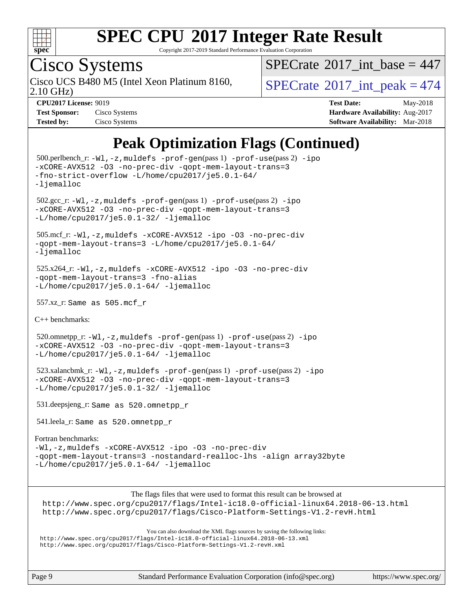

Copyright 2017-2019 Standard Performance Evaluation Corporation

## Cisco Systems

2.10 GHz) Cisco UCS B480 M5 (Intel Xeon Platinum 8160,  $\vert$  [SPECrate](http://www.spec.org/auto/cpu2017/Docs/result-fields.html#SPECrate2017intpeak)<sup>®</sup>[2017\\_int\\_peak = 4](http://www.spec.org/auto/cpu2017/Docs/result-fields.html#SPECrate2017intpeak)74

 $SPECrate$ <sup>®</sup>[2017\\_int\\_base =](http://www.spec.org/auto/cpu2017/Docs/result-fields.html#SPECrate2017intbase) 447

| <b>Test Sponsor:</b> | Cisco Systems |
|----------------------|---------------|
| <b>Tested by:</b>    | Cisco Systems |

**[CPU2017 License:](http://www.spec.org/auto/cpu2017/Docs/result-fields.html#CPU2017License)** 9019 **[Test Date:](http://www.spec.org/auto/cpu2017/Docs/result-fields.html#TestDate)** May-2018 **[Hardware Availability:](http://www.spec.org/auto/cpu2017/Docs/result-fields.html#HardwareAvailability)** Aug-2017 **[Software Availability:](http://www.spec.org/auto/cpu2017/Docs/result-fields.html#SoftwareAvailability)** Mar-2018

### **[Peak Optimization Flags \(Continued\)](http://www.spec.org/auto/cpu2017/Docs/result-fields.html#PeakOptimizationFlags)**

```
 500.perlbench_r: -Wl,-z,muldefs -prof-gen(pass 1) -prof-use(pass 2) -ipo
-xCORE-AVX512 -O3 -no-prec-div -qopt-mem-layout-trans=3
-fno-strict-overflow -L/home/cpu2017/je5.0.1-64/
-ljemalloc
 502.gcc_r: -Wl,-z,muldefs -prof-gen(pass 1) -prof-use(pass 2) -ipo
-xCORE-AVX512 -O3 -no-prec-div -qopt-mem-layout-trans=3
-L/home/cpu2017/je5.0.1-32/ -ljemalloc
 505.mcf_r: -Wl,-z,muldefs -xCORE-AVX512 -ipo -O3 -no-prec-div
-qopt-mem-layout-trans=3 -L/home/cpu2017/je5.0.1-64/
-ljemalloc
 525.x264_r: -Wl,-z,muldefs -xCORE-AVX512 -ipo -O3 -no-prec-div
-qopt-mem-layout-trans=3 -fno-alias
-L/home/cpu2017/je5.0.1-64/-ljemalloc 557.xz_r: Same as 505.mcf_r
C++ benchmarks: 
 520.omnetpp_r: -Wl,-z,muldefs -prof-gen(pass 1) -prof-use(pass 2) -ipo
-xCORE-AVX512 -O3 -no-prec-div -qopt-mem-layout-trans=3
-ljemalloc 523.xalancbmk_r: -Wl,-z,muldefs -prof-gen(pass 1) -prof-use(pass 2) -ipo
-xCORE-AVX512 -O3 -no-prec-div -qopt-mem-layout-trans=3
-L/home/cpu2017/je5.0.1-32/ -ljemalloc
 531.deepsjeng_r: Same as 520.omnetpp_r
 541.leela_r: Same as 520.omnetpp_r
Fortran benchmarks: 
-Wl,-z,muldefs -xCORE-AVX512 -ipo -O3 -no-prec-div
-qopt-mem-layout-trans=3 -nostandard-realloc-lhs -align array32byte
-L/home/cpu2017/je5.0.1-64/ -ljemalloc
                      The flags files that were used to format this result can be browsed at
```
<http://www.spec.org/cpu2017/flags/Intel-ic18.0-official-linux64.2018-06-13.html> <http://www.spec.org/cpu2017/flags/Cisco-Platform-Settings-V1.2-revH.html>

[You can also download the XML flags sources by saving the following links:](tmsearch)

<http://www.spec.org/cpu2017/flags/Intel-ic18.0-official-linux64.2018-06-13.xml> <http://www.spec.org/cpu2017/flags/Cisco-Platform-Settings-V1.2-revH.xml>